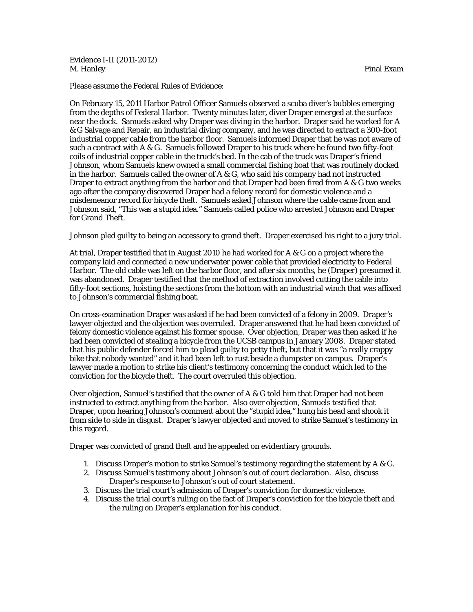Evidence I-II (2011-2012) M. Hanley **Final Example 19th**  $\blacksquare$  Final Example 19th  $\blacksquare$  Final Example 19th  $\blacksquare$  Final Example 1

Please assume the Federal Rules of Evidence:

On February 15, 2011 Harbor Patrol Officer Samuels observed a scuba diver's bubbles emerging from the depths of Federal Harbor. Twenty minutes later, diver Draper emerged at the surface near the dock. Samuels asked why Draper was diving in the harbor. Draper said he worked for A & G Salvage and Repair, an industrial diving company, and he was directed to extract a 300-foot industrial copper cable from the harbor floor. Samuels informed Draper that he was not aware of such a contract with A & G. Samuels followed Draper to his truck where he found two fifty-foot coils of industrial copper cable in the truck's bed. In the cab of the truck was Draper's friend Johnson, whom Samuels knew owned a small commercial fishing boat that was routinely docked in the harbor. Samuels called the owner of A & G, who said his company had not instructed Draper to extract anything from the harbor and that Draper had been fired from A & G two weeks ago after the company discovered Draper had a felony record for domestic violence and a misdemeanor record for bicycle theft. Samuels asked Johnson where the cable came from and Johnson said, "This was a stupid idea." Samuels called police who arrested Johnson and Draper for Grand Theft.

Johnson pled guilty to being an accessory to grand theft. Draper exercised his right to a jury trial.

At trial, Draper testified that in August 2010 he had worked for A & G on a project where the company laid and connected a new underwater power cable that provided electricity to Federal Harbor. The old cable was left on the harbor floor, and after six months, he (Draper) presumed it was abandoned. Draper testified that the method of extraction involved cutting the cable into fifty-foot sections, hoisting the sections from the bottom with an industrial winch that was affixed to Johnson's commercial fishing boat.

On cross-examination Draper was asked if he had been convicted of a felony in 2009. Draper's lawyer objected and the objection was overruled. Draper answered that he had been convicted of felony domestic violence against his former spouse. Over objection, Draper was then asked if he had been convicted of stealing a bicycle from the UCSB campus in January 2008. Draper stated that his public defender forced him to plead guilty to petty theft, but that it was "a really crappy bike that nobody wanted" and it had been left to rust beside a dumpster on campus. Draper's lawyer made a motion to strike his client's testimony concerning the conduct which led to the conviction for the bicycle theft. The court overruled this objection.

Over objection, Samuel's testified that the owner of A & G told him that Draper had not been instructed to extract anything from the harbor. Also over objection, Samuels testified that Draper, upon hearing Johnson's comment about the "stupid idea," hung his head and shook it from side to side in disgust. Draper's lawyer objected and moved to strike Samuel's testimony in this regard.

Draper was convicted of grand theft and he appealed on evidentiary grounds.

- 1. Discuss Draper's motion to strike Samuel's testimony regarding the statement by A & G.
- 2. Discuss Samuel's testimony about Johnson's out of court declaration. Also, discuss Draper's response to Johnson's out of court statement.
- 3. Discuss the trial court's admission of Draper's conviction for domestic violence.
- 4. Discuss the trial court's ruling on the fact of Draper's conviction for the bicycle theft and the ruling on Draper's explanation for his conduct.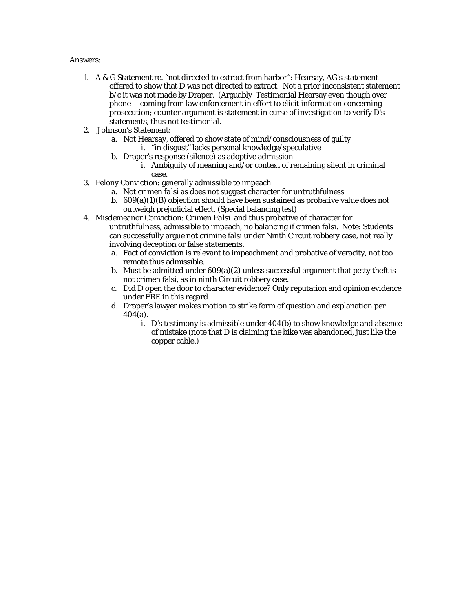## Answers:

- 1. A & G Statement re. "not directed to extract from harbor": Hearsay, AG's statement offered to show that D was not directed to extract. Not a prior inconsistent statement b/c it was not made by Draper. (Arguably Testimonial Hearsay even though over phone -- coming from law enforcement in effort to elicit information concerning prosecution; counter argument is statement in curse of investigation to verify D's statements, thus not testimonial.
- 2. Johnson's Statement:
	- a. Not Hearsay, offered to show state of mind/consciousness of guilty
		- i. "in disgust" lacks personal knowledge/speculative
	- b. Draper's response (silence) as adoptive admission
		- i. Ambiguity of meaning and/or context of remaining silent in criminal case.
- 3. Felony Conviction: generally admissible to impeach
	- a. Not *crimen falsi* as does not suggest character for untruthfulness
	- b.  $609(a)(1)(B)$  objection should have been sustained as probative value does not outweigh prejudicial effect. (Special balancing test)
- 4. Misdemeanor Conviction: *Crimen Falsi* and thus probative of character for untruthfulness, admissible to impeach, no balancing if crimen falsi. Note: Students can successfully argue not crimine falsi under Ninth Circuit robbery case, not really involving deception or false statements.
	- a. Fact of conviction is relevant to impeachment and probative of veracity, not too remote thus admissible.
	- b. Must be admitted under  $609(a)(2)$  unless successful argument that petty theft is not crimen falsi, as in ninth Circuit robbery case.
	- c. Did D open the door to character evidence? Only reputation and opinion evidence under FRE in this regard.
	- d. Draper's lawyer makes motion to strike form of question and explanation per 404(a).
		- i. D's testimony is admissible under 404(b) to show knowledge and absence of mistake (note that D is claiming the bike was abandoned, just like the copper cable.)